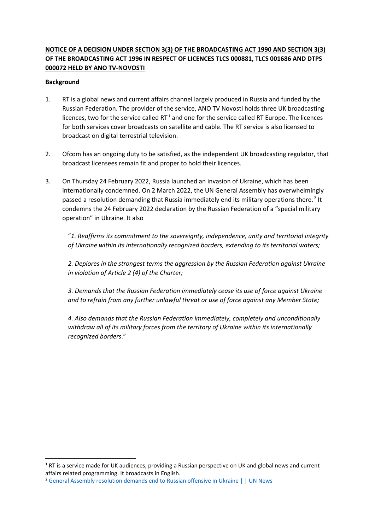# **NOTICE OF A DECISION UNDER SECTION 3(3) OF THE BROADCASTING ACT 1990 AND SECTION 3(3) OF THE BROADCASTING ACT 1996 IN RESPECT OF LICENCES TLCS 000881, TLCS 001686 AND DTPS 000072 HELD BY ANO TV-NOVOSTI**

#### **Background**

- 1. RT is a global news and current affairs channel largely produced in Russia and funded by the Russian Federation. The provider of the service, ANO TV Novosti holds three UK broadcasting licences, two for the service called  $RT<sup>1</sup>$  $RT<sup>1</sup>$  $RT<sup>1</sup>$  and one for the service called RT Europe. The licences for both services cover broadcasts on satellite and cable. The RT service is also licensed to broadcast on digital terrestrial television.
- 2. Ofcom has an ongoing duty to be satisfied, as the independent UK broadcasting regulator, that broadcast licensees remain fit and proper to hold their licences.
- 3. On Thursday 24 February 2022, Russia launched an invasion of Ukraine, which has been internationally condemned. On 2 March 2022, the UN General Assembly has overwhelmingly passed a resolution demanding that Russia immediately end its military operations there.<sup>[2](#page-0-1)</sup> It condemns the 24 February 2022 declaration by the Russian Federation of a "special military operation" in Ukraine. It also

"*1. Reaffirms its commitment to the sovereignty, independence, unity and territorial integrity of Ukraine within its internationally recognized borders, extending to its territorial waters;* 

*2. Deplores in the strongest terms the aggression by the Russian Federation against Ukraine in violation of Article 2 (4) of the Charter;* 

*3. Demands that the Russian Federation immediately cease its use of force against Ukraine and to refrain from any further unlawful threat or use of force against any Member State;* 

*4. Also demands that the Russian Federation immediately, completely and unconditionally withdraw all of its military forces from the territory of Ukraine within its internationally recognized borders*."

<span id="page-0-0"></span><sup>&</sup>lt;sup>1</sup> RT is a service made for UK audiences, providing a Russian perspective on UK and global news and current affairs related programming. It broadcasts in English.

<span id="page-0-1"></span><sup>2</sup> [General Assembly resolution demands end to Russian offensive in Ukraine | | UN News](https://news.un.org/en/story/2022/03/1113152)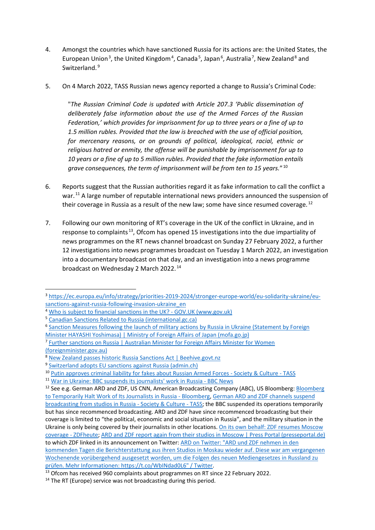- 4. Amongst the countries which have sanctioned Russia for its actions are: the United States, the European Union<sup>[3](#page-1-0)</sup>, the United Kingdom<sup>[4](#page-1-1)</sup>, Canada<sup>[5](#page-1-2)</sup>, Japan<sup>[6](#page-1-3)</sup>, Australia<sup>[7](#page-1-4)</sup>, New Zealand<sup>[8](#page-1-5)</sup> and Switzerland.<sup>[9](#page-1-6)</sup>
- 5. On 4 March 2022, TASS Russian news agency reported a change to Russia's Criminal Code:

"*The Russian Criminal Code is updated with Article 207.3 'Public dissemination of deliberately false information about the use of the Armed Forces of the Russian Federation,' which provides for imprisonment for up to three years or a fine of up to 1.5 million rubles. Provided that the law is breached with the use of official position, for mercenary reasons, or on grounds of political, ideological, racial, ethnic or religious hatred or enmity, the offense will be punishable by imprisonment for up to 10 years or a fine of up to 5 million rubles. Provided that the fake information entails grave consequences, the term of imprisonment will be from ten to 15 years.*" [10](#page-1-7)

- 6. Reports suggest that the Russian authorities regard it as fake information to call the conflict a war.<sup>[11](#page-1-8)</sup> A large number of reputable international news providers announced the suspension of their coverage in Russia as a result of the new law; some have since resumed coverage.  $^{12}$  $^{12}$  $^{12}$
- 7. Following our own monitoring of RT's coverage in the UK of the conflict in Ukraine, and in response to complaints<sup>[13](#page-1-10)</sup>, Ofcom has opened 15 investigations into the due impartiality of news programmes on the RT news channel broadcast on Sunday 27 February 2022, a further 12 investigations into news programmes broadcast on Tuesday 1 March 2022, an investigation into a documentary broadcast on that day, and an investigation into a news programme broadcast on Wednesday 2 March 2022. [14](#page-1-11)

<span id="page-1-1"></span>

<span id="page-1-0"></span><sup>3</sup> [https://ec.europa.eu/info/strategy/priorities-2019-2024/stronger-europe-world/eu-solidarity-ukraine/eu-](https://ec.europa.eu/info/strategy/priorities-2019-2024/stronger-europe-world/eu-solidarity-ukraine/eu-sanctions-against-russia-following-invasion-ukraine_en)sanctions-against-russia-following-invasion-ukraine\_en<br>4 [Who is subject to financial sanctions in the UK? - GOV.UK \(www.gov.uk\)](https://www.gov.uk/government/publications/financial-sanctions-consolidated-list-of-targets)

<span id="page-1-2"></span><sup>5</sup> [Canadian Sanctions Related to Russia \(international.gc.ca\)](https://www.international.gc.ca/world-monde/international_relations-relations_internationales/sanctions/russia-russie.aspx?lang=eng)

<span id="page-1-3"></span><sup>&</sup>lt;sup>6</sup> Sanction Measures following the launch of military actions by Russia in Ukraine (Statement by Foreign

[Minister HAYASHI Yoshimasa\) | Ministry of Foreign Affairs of Japan \(mofa.go.jp\)](https://www.mofa.go.jp/press/release/press6e_000371.html)

<span id="page-1-4"></span><sup>7</sup> [Further sanctions on Russia | Australian Minister for Foreign Affairs Minister for Women](https://www.foreignminister.gov.au/minister/marise-payne/media-release/further-sanctions-russia#:%7E:text=The%20Australian%20Government%20is%20placing,de%2DNazification%E2%80%9D%20of%20Ukraine.)  [\(foreignminister.gov.au\)](https://www.foreignminister.gov.au/minister/marise-payne/media-release/further-sanctions-russia#:%7E:text=The%20Australian%20Government%20is%20placing,de%2DNazification%E2%80%9D%20of%20Ukraine.)

<span id="page-1-5"></span><sup>8</sup> [New Zealand passes historic Russia Sanctions Act | Beehive.govt.nz](https://www.beehive.govt.nz/release/new-zealand-passes-historic-russia-sanctions-act#:%7E:text=Parliament%20has%20unanimously%20passed%20historic,and%20intolerable%20invasion%20of%20Ukraine.)

<span id="page-1-6"></span><sup>9</sup> [Switzerland adopts EU sanctions against Russia \(admin.ch\)](https://www.admin.ch/gov/en/start/documentation/media-releases.msg-id-87386.html)

<span id="page-1-7"></span><sup>10</sup> [Putin approves criminal liability for fakes about Russian Armed Forces - Society & Culture - TASS](https://tass.com/society/1417043)

<span id="page-1-8"></span><sup>11</sup> [War in Ukraine: BBC suspends its journalists' work in Russia - BBC News](https://www.bbc.co.uk/news/world-europe-60617365?at_medium=RSS&at_campaign=KARANGA)

<span id="page-1-9"></span><sup>&</sup>lt;sup>12</sup> See e.g. German ARD and ZDF, US CNN, American Broadcasting Company (ABC), US Bloomberg: Bloomberg [to Temporarily Halt Work of Its Journalists in Russia - Bloomberg,](https://www.bloomberg.com/news/articles/2022-03-04/bloomberg-to-temporarily-halt-work-of-its-journalists-in-russia) [German ARD and ZDF channels suspend](https://tass.com/society/1417361)  broadcasting from studios in [Russia - Society & Culture - TASS;](https://tass.com/society/1417361) the BBC suspended its operations temporarily but has since recommenced broadcasting. ARD and ZDF have since recommenced broadcasting but their coverage is limited to "the political, economic and social situation in Russia", and the military situation in the Ukraine is only being covered by their journalists in other locations. [On its own behalf: ZDF resumes Moscow](https://www.zdf.de/nachrichten/in-eigener-sache/zdf-moskau-berichterstattung-ukraine-krieg-100.html)  [coverage - ZDFheute;](https://www.zdf.de/nachrichten/in-eigener-sache/zdf-moskau-berichterstattung-ukraine-krieg-100.html) [ARD and ZDF report again from their studios in Moscow | Press Portal \(presseportal.de\)](https://www.presseportal.de/pm/7899/5168225) to which ZDF linked in its announcement on Twitter: [ARD on Twitter: "ARD und ZDF nehmen in den](https://twitter.com/ard_presse/status/1502233185559924738?s=21)  [kommenden Tagen die Berichterstattung aus ihren Studios in Moskau wieder auf. Diese war am vergangenen](https://twitter.com/ard_presse/status/1502233185559924738?s=21)  [Wochenende vorübergehend ausgesetzt worden, um die Folgen des neuen Mediengesetzes in Russland zu](https://twitter.com/ard_presse/status/1502233185559924738?s=21)  [prüfen. Mehr Informationen: https://t.co/WbINdad0L6" / Twitter.](https://twitter.com/ard_presse/status/1502233185559924738?s=21)<br><sup>13</sup> Ofcom has received 960 complaints about programmes on RT since 22 February 2022.

<span id="page-1-11"></span><span id="page-1-10"></span> $14$  The RT (Europe) service was not broadcasting during this period.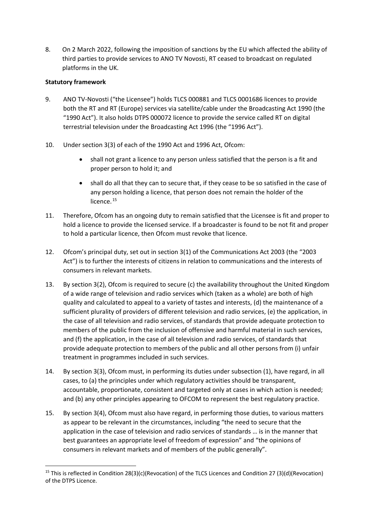8. On 2 March 2022, following the imposition of sanctions by the EU which affected the ability of third parties to provide services to ANO TV Novosti, RT ceased to broadcast on regulated platforms in the UK.

### **Statutory framework**

- 9. ANO TV-Novosti ("the Licensee") holds TLCS 000881 and TLCS 0001686 licences to provide both the RT and RT (Europe) services via satellite/cable under the Broadcasting Act 1990 (the "1990 Act"). It also holds DTPS 000072 licence to provide the service called RT on digital terrestrial television under the Broadcasting Act 1996 (the "1996 Act").
- 10. Under section 3(3) of each of the 1990 Act and 1996 Act, Ofcom:
	- shall not grant a licence to any person unless satisfied that the person is a fit and proper person to hold it; and
	- shall do all that they can to secure that, if they cease to be so satisfied in the case of any person holding a licence, that person does not remain the holder of the licence.<sup>15</sup>
- 11. Therefore, Ofcom has an ongoing duty to remain satisfied that the Licensee is fit and proper to hold a licence to provide the licensed service. If a broadcaster is found to be not fit and proper to hold a particular licence, then Ofcom must revoke that licence.
- 12. Ofcom's principal duty, set out in section 3(1) of the Communications Act 2003 (the "2003 Act") is to further the interests of citizens in relation to communications and the interests of consumers in relevant markets.
- 13. By section 3(2), Ofcom is required to secure (c) the availability throughout the United Kingdom of a wide range of television and radio services which (taken as a whole) are both of high quality and calculated to appeal to a variety of tastes and interests, (d) the maintenance of a sufficient plurality of providers of different television and radio services, (e) the application, in the case of all television and radio services, of standards that provide adequate protection to members of the public from the inclusion of offensive and harmful material in such services, and (f) the application, in the case of all television and radio services, of standards that provide adequate protection to members of the public and all other persons from (i) unfair treatment in programmes included in such services.
- 14. By section 3(3), Ofcom must, in performing its duties under subsection (1), have regard, in all cases, to (a) the principles under which regulatory activities should be transparent, accountable, proportionate, consistent and targeted only at cases in which action is needed; and (b) any other principles appearing to OFCOM to represent the best regulatory practice.
- 15. By section 3(4), Ofcom must also have regard, in performing those duties, to various matters as appear to be relevant in the circumstances, including "the need to secure that the application in the case of television and radio services of standards … is in the manner that best guarantees an appropriate level of freedom of expression" and "the opinions of consumers in relevant markets and of members of the public generally".

<span id="page-2-0"></span><sup>&</sup>lt;sup>15</sup> This is reflected in Condition 28(3)(c)(Revocation) of the TLCS Licences and Condition 27 (3)(d)(Revocation) of the DTPS Licence.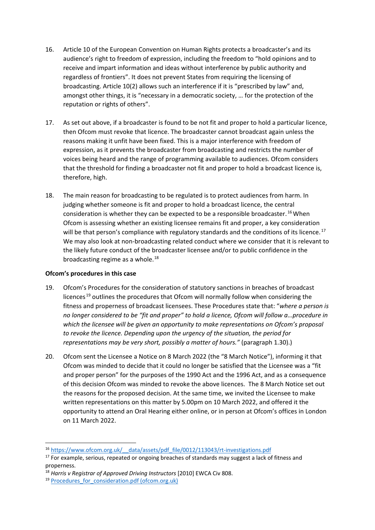- 16. Article 10 of the European Convention on Human Rights protects a broadcaster's and its audience's right to freedom of expression, including the freedom to "hold opinions and to receive and impart information and ideas without interference by public authority and regardless of frontiers". It does not prevent States from requiring the licensing of broadcasting. Article 10(2) allows such an interference if it is "prescribed by law" and, amongst other things, it is "necessary in a democratic society, … for the protection of the reputation or rights of others".
- 17. As set out above, if a broadcaster is found to be not fit and proper to hold a particular licence, then Ofcom must revoke that licence. The broadcaster cannot broadcast again unless the reasons making it unfit have been fixed. This is a major interference with freedom of expression, as it prevents the broadcaster from broadcasting and restricts the number of voices being heard and the range of programming available to audiences. Ofcom considers that the threshold for finding a broadcaster not fit and proper to hold a broadcast licence is, therefore, high.
- 18. The main reason for broadcasting to be regulated is to protect audiences from harm. In judging whether someone is fit and proper to hold a broadcast licence, the central consideration is whether they can be expected to be a responsible broadcaster.<sup>[16](#page-3-0)</sup> When Ofcom is assessing whether an existing licensee remains fit and proper, a key consideration will be that person's compliance with regulatory standards and the conditions of its licence.<sup>[17](#page-3-1)</sup> We may also look at non-broadcasting related conduct where we consider that it is relevant to the likely future conduct of the broadcaster licensee and/or to public confidence in the broadcasting regime as a whole.<sup>[18](#page-3-2)</sup>

#### **Ofcom's procedures in this case**

- 19. Ofcom's Procedures for the consideration of statutory sanctions in breaches of broadcast licences  $19$  outlines the procedures that Ofcom will normally follow when considering the fitness and properness of broadcast licensees. These Procedures state that: "*where a person is no longer considered to be "fit and proper" to hold a licence, Ofcom will follow a…procedure in which the licensee will be given an opportunity to make representations on Ofcom's proposal to revoke the licence. Depending upon the urgency of the situation, the period for representations may be very short, possibly a matter of hours."* (paragraph 1.30).)
- 20. Ofcom sent the Licensee a Notice on 8 March 2022 (the "8 March Notice"), informing it that Ofcom was minded to decide that it could no longer be satisfied that the Licensee was a "fit and proper person" for the purposes of the 1990 Act and the 1996 Act, and as a consequence of this decision Ofcom was minded to revoke the above licences. The 8 March Notice set out the reasons for the proposed decision. At the same time, we invited the Licensee to make written representations on this matter by 5.00pm on 10 March 2022, and offered it the opportunity to attend an Oral Hearing either online, or in person at Ofcom's offices in London on 11 March 2022.

<span id="page-3-0"></span><sup>&</sup>lt;sup>16</sup> https://www.ofcom.org.uk/ data/assets/pdf file/0012/113043/rt-investigations.pdf 17 For example, serious, repeated or ongoing breaches of standards may suggest a lack of fitness and

<span id="page-3-1"></span>properness. 18 *Harris v Registrar of Approved Driving Instructors* [2010] EWCA Civ 808.

<span id="page-3-3"></span><span id="page-3-2"></span><sup>&</sup>lt;sup>19</sup> Procedures for consideration.pdf (ofcom.org.uk)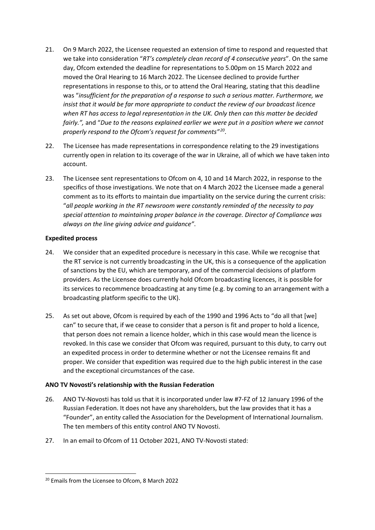- 21. On 9 March 2022, the Licensee requested an extension of time to respond and requested that we take into consideration "*RT's completely clean record of 4 consecutive years*". On the same day, Ofcom extended the deadline for representations to 5.00pm on 15 March 2022 and moved the Oral Hearing to 16 March 2022. The Licensee declined to provide further representations in response to this, or to attend the Oral Hearing, stating that this deadline was "*insufficient for the preparation of a response to such a serious matter. Furthermore, we insist that it would be far more appropriate to conduct the review of our broadcast licence when RT has access to legal representation in the UK. Only then can this matter be decided fairly.",* and "*Due to the reasons explained earlier we were put in a position where we cannot properly respond to the Ofcom's request for comments" [20](#page-4-0)*.
- 22. The Licensee has made representations in correspondence relating to the 29 investigations currently open in relation to its coverage of the war in Ukraine, all of which we have taken into account.
- 23. The Licensee sent representations to Ofcom on 4, 10 and 14 March 2022, in response to the specifics of those investigations. We note that on 4 March 2022 the Licensee made a general comment as to its efforts to maintain due impartiality on the service during the current crisis: "*all people working in the RT newsroom were constantly reminded of the necessity to pay special attention to maintaining proper balance in the coverage. Director of Compliance was always on the line giving advice and guidance"*.

# **Expedited process**

- 24. We consider that an expedited procedure is necessary in this case. While we recognise that the RT service is not currently broadcasting in the UK, this is a consequence of the application of sanctions by the EU, which are temporary, and of the commercial decisions of platform providers. As the Licensee does currently hold Ofcom broadcasting licences, it is possible for its services to recommence broadcasting at any time (e.g. by coming to an arrangement with a broadcasting platform specific to the UK).
- 25. As set out above, Ofcom is required by each of the 1990 and 1996 Acts to "do all that [we] can" to secure that, if we cease to consider that a person is fit and proper to hold a licence, that person does not remain a licence holder, which in this case would mean the licence is revoked. In this case we consider that Ofcom was required, pursuant to this duty, to carry out an expedited process in order to determine whether or not the Licensee remains fit and proper. We consider that expedition was required due to the high public interest in the case and the exceptional circumstances of the case.

# **ANO TV Novosti's relationship with the Russian Federation**

- 26. ANO TV-Novosti has told us that it is incorporated under law #7-FZ of 12 January 1996 of the Russian Federation. It does not have any shareholders, but the law provides that it has a "Founder", an entity called the Association for the Development of International Journalism. The ten members of this entity control ANO TV Novosti.
- 27. In an email to Ofcom of 11 October 2021, ANO TV-Novosti stated:

<span id="page-4-0"></span><sup>&</sup>lt;sup>20</sup> Emails from the Licensee to Ofcom, 8 March 2022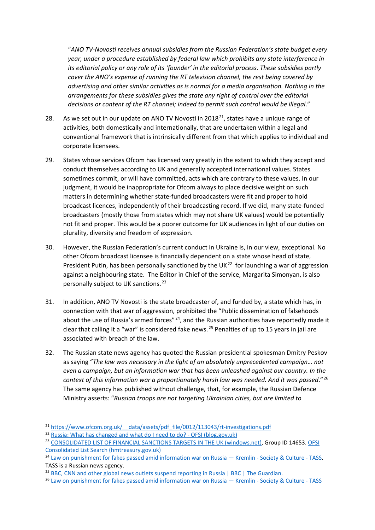"*ANO TV-Novosti receives annual subsidies from the Russian Federation's state budget every year, under a procedure established by federal law which prohibits any state interference in its editorial policy or any role of its 'founder' in the editorial process. These subsidies partly cover the ANO's expense of running the RT television channel, the rest being covered by advertising and other similar activities as is normal for a media organisation. Nothing in the arrangements for these subsidies gives the state any right of control over the editorial decisions or content of the RT channel; indeed to permit such control would be illegal*."

- 28. As we set out in our update on ANO TV Novosti in 2018<sup>[21](#page-5-0)</sup>, states have a unique range of activities, both domestically and internationally, that are undertaken within a legal and conventional framework that is intrinsically different from that which applies to individual and corporate licensees.
- 29. States whose services Ofcom has licensed vary greatly in the extent to which they accept and conduct themselves according to UK and generally accepted international values. States sometimes commit, or will have committed, acts which are contrary to these values. In our judgment, it would be inappropriate for Ofcom always to place decisive weight on such matters in determining whether state-funded broadcasters were fit and proper to hold broadcast licences, independently of their broadcasting record. If we did, many state-funded broadcasters (mostly those from states which may not share UK values) would be potentially not fit and proper. This would be a poorer outcome for UK audiences in light of our duties on plurality, diversity and freedom of expression.
- 30. However, the Russian Federation's current conduct in Ukraine is, in our view, exceptional. No other Ofcom broadcast licensee is financially dependent on a state whose head of state, President Putin, has been personally sanctioned by the UK $^{22}$  for launching a war of aggression against a neighbouring state. The Editor in Chief of the service, Margarita Simonyan, is also personally subject to UK sanctions. [23](#page-5-2)
- 31. In addition, ANO TV Novosti is the state broadcaster of, and funded by, a state which has, in connection with that war of aggression, prohibited the "Public dissemination of falsehoods about the use of Russia's armed forces"<sup>24</sup>, and the Russian authorities have reportedly made it clear that calling it a "war" is considered fake news. [25](#page-5-4) Penalties of up to 15 years in jail are associated with breach of the law.
- 32. The Russian state news agency has quoted the Russian presidential spokesman Dmitry Peskov as saying "*The law was necessary in the light of an absolutely unprecedented campaign… not even a campaign, but an information war that has been unleashed against our country. In the context of this information war a proportionately harsh law was needed. And it was passed*." [26](#page-5-5) The same agency has published without challenge, that, for example, the Russian Defence Ministry asserts: "*Russian troops are not targeting Ukrainian cities, but are limited to*

<span id="page-5-0"></span><sup>&</sup>lt;sup>21</sup> https://www.ofcom.org.uk/ data/assets/pdf file/0012/113043/rt-investigations.pdf

<span id="page-5-1"></span><sup>22</sup> [Russia: What has changed and what do I need to do? - OFSI \(blog.gov.uk\)](https://ofsi.blog.gov.uk/2022/03/10/russia-what-has-changed-and-what-do-i-need-to-do/)

<span id="page-5-2"></span><sup>&</sup>lt;sup>23</sup> [CONSOLIDATED LIST OF FINANCIAL SANCTIONS TARGETS IN THE UK \(windows.net\),](https://ofsistorage.blob.core.windows.net/publishlive/2022format/ConList.html) Group ID 14653. OFSI [Consolidated List Search \(hmtreasury.gov.uk\)](https://sanctionssearchapp.ofsi.hmtreasury.gov.uk/suspect/14653)

<span id="page-5-3"></span><sup>&</sup>lt;sup>24</sup> [Law on punishment for fakes passed amid information war on Russia — Kremlin - Society & Culture - TASS.](https://tass.com/society/1417281) TASS is a Russian news agency.

<span id="page-5-5"></span><span id="page-5-4"></span><sup>&</sup>lt;sup>25</sup> [BBC, CNN and other global news outlets suspend reporting in Russia | BBC | The Guardian.](https://www.theguardian.com/media/2022/mar/04/bbc-temporarily-suspending-work-all-news-journalists-russia)<br><sup>26</sup> [Law on punishment for fakes passed amid information war on Russia — Kremlin - Society & Culture - TASS](https://tass.com/society/1417281)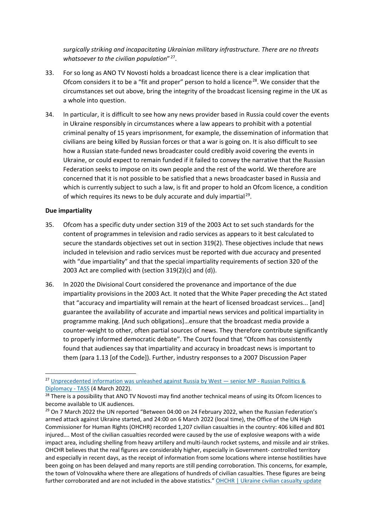*surgically striking and incapacitating Ukrainian military infrastructure. There are no threats whatsoever to the civilian population*" [27](#page-6-0).

- 33. For so long as ANO TV Novosti holds a broadcast licence there is a clear implication that Ofcom considers it to be a "fit and proper" person to hold a licence<sup>[28](#page-6-1)</sup>. We consider that the circumstances set out above, bring the integrity of the broadcast licensing regime in the UK as a whole into question.
- 34. In particular, it is difficult to see how any news provider based in Russia could cover the events in Ukraine responsibly in circumstances where a law appears to prohibit with a potential criminal penalty of 15 years imprisonment, for example, the dissemination of information that civilians are being killed by Russian forces or that a war is going on. It is also difficult to see how a Russian state-funded news broadcaster could credibly avoid covering the events in Ukraine, or could expect to remain funded if it failed to convey the narrative that the Russian Federation seeks to impose on its own people and the rest of the world. We therefore are concerned that it is not possible to be satisfied that a news broadcaster based in Russia and which is currently subject to such a law, is fit and proper to hold an Ofcom licence, a condition of which requires its news to be duly accurate and duly impartial<sup>[29](#page-6-2)</sup>.

#### **Due impartiality**

- 35. Ofcom has a specific duty under section 319 of the 2003 Act to set such standards for the content of programmes in television and radio services as appears to it best calculated to secure the standards objectives set out in section 319(2). These objectives include that news included in television and radio services must be reported with due accuracy and presented with "due impartiality" and that the special impartiality requirements of section 320 of the 2003 Act are complied with (section 319(2)(c) and (d)).
- 36. In 2020 the Divisional Court considered the provenance and importance of the due impartiality provisions in the 2003 Act. It noted that the White Paper preceding the Act stated that "accuracy and impartiality will remain at the heart of licensed broadcast services... [and] guarantee the availability of accurate and impartial news services and political impartiality in programme making. [And such obligations]…ensure that the broadcast media provide a counter-weight to other, often partial sources of news. They therefore contribute significantly to properly informed democratic debate". The Court found that "Ofcom has consistently found that audiences say that impartiality and accuracy in broadcast news is important to them (para 1.13 [of the Code]). Further, industry responses to a 2007 Discussion Paper

<span id="page-6-0"></span><sup>&</sup>lt;sup>27</sup> Unprecedented information was unleashed against Russia by West - senior MP - Russian Politics & Diplomacy - TASS (4 March 2022).<br><sup>28</sup> There is a possibility that ANO TV Novosti may find another technical means of using its Ofcom licences to

<span id="page-6-1"></span>become available to UK audiences.

<span id="page-6-2"></span><sup>&</sup>lt;sup>29</sup> On 7 March 2022 the UN reported "Between 04:00 on 24 February 2022, when the Russian Federation's armed attack against Ukraine started, and 24:00 on 6 March 2022 (local time), the Office of the UN High Commissioner for Human Rights (OHCHR) recorded 1,207 civilian casualties in the country: 406 killed and 801 injured…. Most of the civilian casualties recorded were caused by the use of explosive weapons with a wide impact area, including shelling from heavy artillery and multi-launch rocket systems, and missile and air strikes. OHCHR believes that the real figures are considerably higher, especially in Government- controlled territory and especially in recent days, as the receipt of information from some locations where intense hostilities have been going on has been delayed and many reports are still pending corroboration. This concerns, for example, the town of Volnovakha where there are allegations of hundreds of civilian casualties. These figures are being further corroborated and are not included in the above statistics." [OHCHR | Ukraine civilian casualty update](https://www.ohchr.org/EN/NewsEvents/Pages/DisplayNews.aspx?NewsID=28179&LangID=E)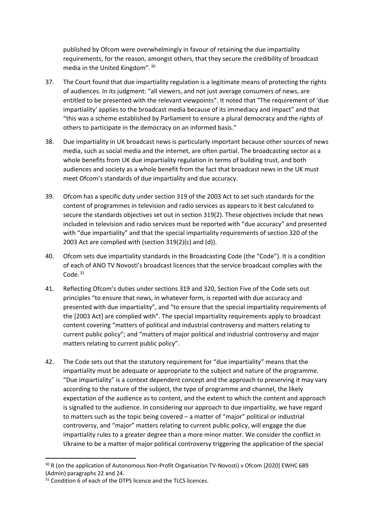published by Ofcom were overwhelmingly in favour of retaining the due impartiality requirements, for the reason, amongst others, that they secure the credibility of broadcast media in the United Kingdom". [30](#page-7-0)

- 37. The Court found that due impartiality regulation is a legitimate means of protecting the rights of audiences. In its judgment: "all viewers, and not just average consumers of news, are entitled to be presented with the relevant viewpoints". It noted that "The requirement of 'due impartiality' applies to the broadcast media because of its immediacy and impact" and that "this was a scheme established by Parliament to ensure a plural democracy and the rights of others to participate in the democracy on an informed basis."
- 38. Due impartiality in UK broadcast news is particularly important because other sources of news media, such as social media and the internet, are often partial. The broadcasting sector as a whole benefits from UK due impartiality regulation in terms of building trust, and both audiences and society as a whole benefit from the fact that broadcast news in the UK must meet Ofcom's standards of due impartiality and due accuracy.
- 39. Ofcom has a specific duty under section 319 of the 2003 Act to set such standards for the content of programmes in television and radio services as appears to it best calculated to secure the standards objectives set out in section 319(2). These objectives include that news included in television and radio services must be reported with "due accuracy" and presented with "due impartiality" and that the special impartiality requirements of section 320 of the 2003 Act are complied with (section 319(2)(c) and (d)).
- 40. Ofcom sets due impartiality standards in the Broadcasting Code (the "Code"). It is a condition of each of ANO TV Novosti's broadcast licences that the service broadcast complies with the Code.<sup>[31](#page-7-1)</sup>
- 41. Reflecting Ofcom's duties under sections 319 and 320, Section Five of the Code sets out principles "to ensure that news, in whatever form, is reported with due accuracy and presented with due impartiality", and "to ensure that the special impartiality requirements of the [2003 Act] are complied with". The special impartiality requirements apply to broadcast content covering "matters of political and industrial controversy and matters relating to current public policy"; and "matters of major political and industrial controversy and major matters relating to current public policy".
- 42. The Code sets out that the statutory requirement for "due impartiality" means that the impartiality must be adequate or appropriate to the subject and nature of the programme. "Due impartiality" is a context dependent concept and the approach to preserving it may vary according to the nature of the subject, the type of programme and channel, the likely expectation of the audience as to content, and the extent to which the content and approach is signalled to the audience. In considering our approach to due impartiality, we have regard to matters such as the topic being covered – a matter of "major" political or industrial controversy, and "major" matters relating to current public policy, will engage the due impartiality rules to a greater degree than a more minor matter. We consider the conflict in Ukraine to be a matter of major political controversy triggering the application of the special

<span id="page-7-0"></span><sup>&</sup>lt;sup>30</sup> R (on the application of Autonomous Non-Profit Organisation TV-Novosti) v Ofcom [2020] EWHC 689 (Admin) paragraphs 22 and 24.

<span id="page-7-1"></span> $31$  Condition 6 of each of the DTPS licence and the TLCS licences.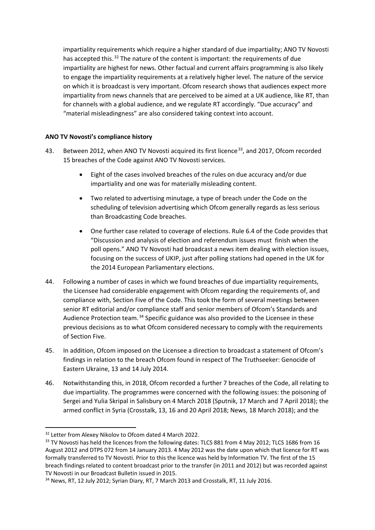impartiality requirements which require a higher standard of due impartiality; ANO TV Novosti has accepted this.<sup>[32](#page-8-0)</sup> The nature of the content is important: the requirements of due impartiality are highest for news. Other factual and current affairs programming is also likely to engage the impartiality requirements at a relatively higher level. The nature of the service on which it is broadcast is very important. Ofcom research shows that audiences expect more impartiality from news channels that are perceived to be aimed at a UK audience, like RT, than for channels with a global audience, and we regulate RT accordingly. "Due accuracy" and "material misleadingness" are also considered taking context into account.

# **ANO TV Novosti's compliance history**

- 43. Between 2012, when ANO TV Novosti acquired its first licence<sup>[33](#page-8-1)</sup>, and 2017, Ofcom recorded 15 breaches of the Code against ANO TV Novosti services.
	- Eight of the cases involved breaches of the rules on due accuracy and/or due impartiality and one was for materially misleading content.
	- Two related to advertising minutage, a type of breach under the Code on the scheduling of television advertising which Ofcom generally regards as less serious than Broadcasting Code breaches.
	- One further case related to coverage of elections. Rule 6.4 of the Code provides that "Discussion and analysis of election and referendum issues must finish when the poll opens." ANO TV Novosti had broadcast a news item dealing with election issues, focusing on the success of UKIP, just after polling stations had opened in the UK for the 2014 European Parliamentary elections.
- 44. Following a number of cases in which we found breaches of due impartiality requirements, the Licensee had considerable engagement with Ofcom regarding the requirements of, and compliance with, Section Five of the Code. This took the form of several meetings between senior RT editorial and/or compliance staff and senior members of Ofcom's Standards and Audience Protection team.<sup>[34](#page-8-2)</sup> Specific guidance was also provided to the Licensee in these previous decisions as to what Ofcom considered necessary to comply with the requirements of Section Five.
- 45. In addition, Ofcom imposed on the Licensee a direction to broadcast a statement of Ofcom's findings in relation to the breach Ofcom found in respect of The Truthseeker: Genocide of Eastern Ukraine, 13 and 14 July 2014.
- 46. Notwithstanding this, in 2018, Ofcom recorded a further 7 breaches of the Code, all relating to due impartiality. The programmes were concerned with the following issues: the poisoning of Sergei and Yulia Skripal in Salisbury on 4 March 2018 (Sputnik, 17 March and 7 April 2018); the armed conflict in Syria (Crosstalk, 13, 16 and 20 April 2018; News, 18 March 2018); and the

<span id="page-8-0"></span><sup>&</sup>lt;sup>32</sup> Letter from Alexey Nikolov to Ofcom dated 4 March 2022.

<span id="page-8-1"></span><sup>&</sup>lt;sup>33</sup> TV Novosti has held the licences from the following dates: TLCS 881 from 4 May 2012; TLCS 1686 from 16 August 2012 and DTPS 072 from 14 January 2013. 4 May 2012 was the date upon which that licence for RT was formally transferred to TV Novosti. Prior to this the licence was held by Information TV. The first of the 15 breach findings related to content broadcast prior to the transfer (in 2011 and 2012) but was recorded against TV Novosti in our Broadcast Bulletin issued in 2015.

<span id="page-8-2"></span><sup>34</sup> News, RT, 12 July 2012; Syrian Diary, RT, 7 March 2013 and Crosstalk, RT, 11 July 2016.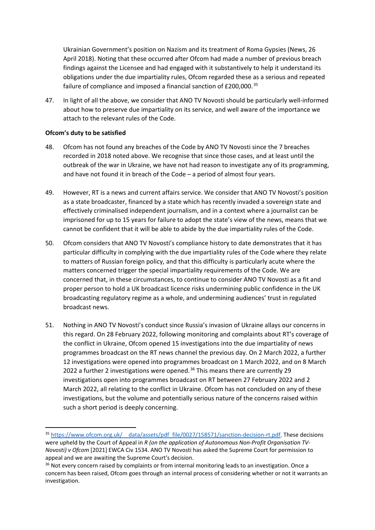Ukrainian Government's position on Nazism and its treatment of Roma Gypsies (News, 26 April 2018). Noting that these occurred after Ofcom had made a number of previous breach findings against the Licensee and had engaged with it substantively to help it understand its obligations under the due impartiality rules, Ofcom regarded these as a serious and repeated failure of compliance and imposed a financial sanction of £200,000.<sup>[35](#page-9-0)</sup>

47. In light of all the above, we consider that ANO TV Novosti should be particularly well-informed about how to preserve due impartiality on its service, and well aware of the importance we attach to the relevant rules of the Code.

#### **Ofcom's duty to be satisfied**

- 48. Ofcom has not found any breaches of the Code by ANO TV Novosti since the 7 breaches recorded in 2018 noted above. We recognise that since those cases, and at least until the outbreak of the war in Ukraine, we have not had reason to investigate any of its programming, and have not found it in breach of the Code – a period of almost four years.
- 49. However, RT is a news and current affairs service. We consider that ANO TV Novosti's position as a state broadcaster, financed by a state which has recently invaded a sovereign state and effectively criminalised independent journalism, and in a context where a journalist can be imprisoned for up to 15 years for failure to adopt the state's view of the news, means that we cannot be confident that it will be able to abide by the due impartiality rules of the Code.
- 50. Ofcom considers that ANO TV Novosti's compliance history to date demonstrates that it has particular difficulty in complying with the due impartiality rules of the Code where they relate to matters of Russian foreign policy, and that this difficulty is particularly acute where the matters concerned trigger the special impartiality requirements of the Code. We are concerned that, in these circumstances, to continue to consider ANO TV Novosti as a fit and proper person to hold a UK broadcast licence risks undermining public confidence in the UK broadcasting regulatory regime as a whole, and undermining audiences' trust in regulated broadcast news.
- 51. Nothing in ANO TV Novosti's conduct since Russia's invasion of Ukraine allays our concerns in this regard. On 28 February 2022, following monitoring and complaints about RT's coverage of the conflict in Ukraine, Ofcom opened 15 investigations into the due impartiality of news programmes broadcast on the RT news channel the previous day. On 2 March 2022, a further 12 investigations were opened into programmes broadcast on 1 March 2022, and on 8 March 2022 a further 2 investigations were opened.<sup>[36](#page-9-1)</sup> This means there are currently 29 investigations open into programmes broadcast on RT between 27 February 2022 and 2 March 2022, all relating to the conflict in Ukraine. Ofcom has not concluded on any of these investigations, but the volume and potentially serious nature of the concerns raised within such a short period is deeply concerning.

<span id="page-9-0"></span><sup>35</sup> https://www.ofcom.org.uk/ data/assets/pdf file/0027/158571/sanction-decision-rt.pdf. These decisions were upheld by the Court of Appeal in *R (on the application of Autonomous Non-Profit Organisation TV-Novosti) v Ofcom* [2021] EWCA Civ 1534. ANO TV Novosti has asked the Supreme Court for permission to appeal and we are awaiting the Supreme Court's decision.

<span id="page-9-1"></span><sup>&</sup>lt;sup>36</sup> Not every concern raised by complaints or from internal monitoring leads to an investigation. Once a concern has been raised, Ofcom goes through an internal process of considering whether or not it warrants an investigation.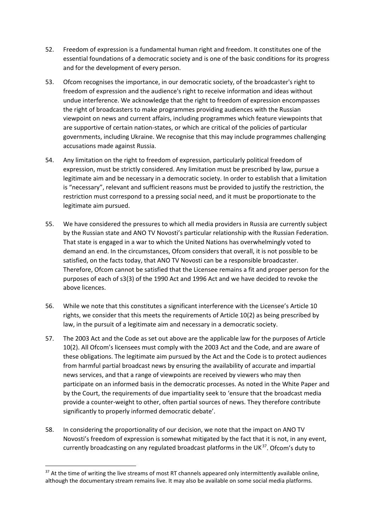- 52. Freedom of expression is a fundamental human right and freedom. It constitutes one of the essential foundations of a democratic society and is one of the basic conditions for its progress and for the development of every person.
- 53. Ofcom recognises the importance, in our democratic society, of the broadcaster's right to freedom of expression and the audience's right to receive information and ideas without undue interference. We acknowledge that the right to freedom of expression encompasses the right of broadcasters to make programmes providing audiences with the Russian viewpoint on news and current affairs, including programmes which feature viewpoints that are supportive of certain nation-states, or which are critical of the policies of particular governments, including Ukraine. We recognise that this may include programmes challenging accusations made against Russia.
- 54. Any limitation on the right to freedom of expression, particularly political freedom of expression, must be strictly considered. Any limitation must be prescribed by law, pursue a legitimate aim and be necessary in a democratic society. In order to establish that a limitation is "necessary", relevant and sufficient reasons must be provided to justify the restriction, the restriction must correspond to a pressing social need, and it must be proportionate to the legitimate aim pursued.
- 55. We have considered the pressures to which all media providers in Russia are currently subject by the Russian state and ANO TV Novosti's particular relationship with the Russian Federation. That state is engaged in a war to which the United Nations has overwhelmingly voted to demand an end. In the circumstances, Ofcom considers that overall, it is not possible to be satisfied, on the facts today, that ANO TV Novosti can be a responsible broadcaster. Therefore, Ofcom cannot be satisfied that the Licensee remains a fit and proper person for the purposes of each of s3(3) of the 1990 Act and 1996 Act and we have decided to revoke the above licences.
- 56. While we note that this constitutes a significant interference with the Licensee's Article 10 rights, we consider that this meets the requirements of Article 10(2) as being prescribed by law, in the pursuit of a legitimate aim and necessary in a democratic society.
- 57. The 2003 Act and the Code as set out above are the applicable law for the purposes of Article 10(2). All Ofcom's licensees must comply with the 2003 Act and the Code, and are aware of these obligations. The legitimate aim pursued by the Act and the Code is to protect audiences from harmful partial broadcast news by ensuring the availability of accurate and impartial news services, and that a range of viewpoints are received by viewers who may then participate on an informed basis in the democratic processes. As noted in the White Paper and by the Court, the requirements of due impartiality seek to 'ensure that the broadcast media provide a counter-weight to other, often partial sources of news. They therefore contribute significantly to properly informed democratic debate'.
- 58. In considering the proportionality of our decision, we note that the impact on ANO TV Novosti's freedom of expression is somewhat mitigated by the fact that it is not, in any event, currently broadcasting on any regulated broadcast platforms in the UK $37$ . Ofcom's duty to

<span id="page-10-0"></span><sup>&</sup>lt;sup>37</sup> At the time of writing the live streams of most RT channels appeared only intermittently available online, although the documentary stream remains live. It may also be available on some social media platforms.